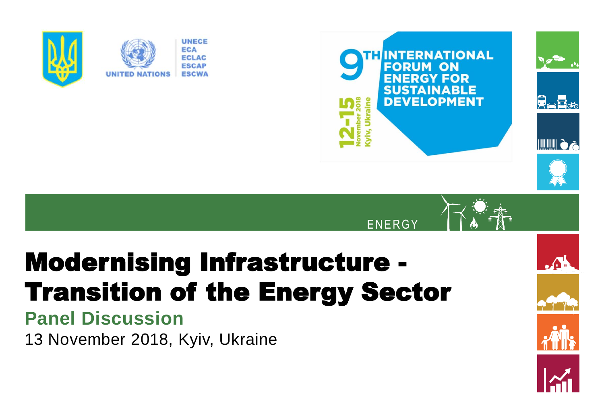



 $\Lambda$ 

**ENERGY** 

# Modernising Infrastructure - Transition of the Energy Sector

## **Panel Discussion**

13 November 2018, Kyiv, Ukraine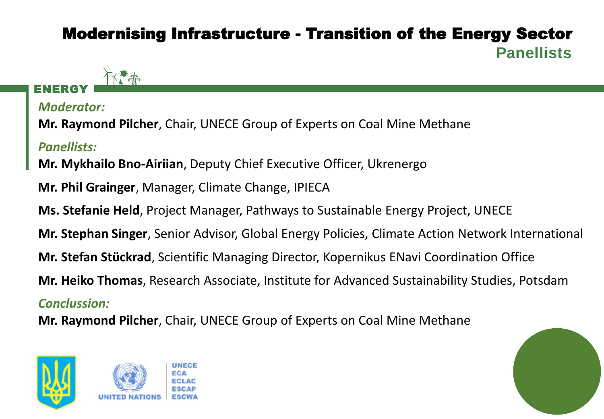### Modernising Infrastructure - Transition of the Energy Sector **Panellists**

#### ENERGY

*Moderator:*

**Mr. Raymond Pilcher**, Chair, UNECE Group of Experts on Coal Mine Methane

*Panellists:*

**Mr. Mykhailo Bno-Airiian**, Deputy Chief Executive Officer, Ukrenergo

**Mr. Phil Grainger**, Manager, Climate Change, IPIECA

**Ms. Stefanie Held**, Project Manager, Pathways to Sustainable Energy Project, UNECE

**Mr. Stephan Singer**, Senior Advisor, Global Energy Policies, Climate Action Network International

**Mr. Stefan Stückrad**, Scientific Managing Director, Kopernikus ENavi Coordination Office

**Mr. Heiko Thomas**, Research Associate, Institute for Advanced Sustainability Studies, Potsdam

#### *Conclussion:*

**Mr. Raymond Pilcher**, Chair, UNECE Group of Experts on Coal Mine Methane





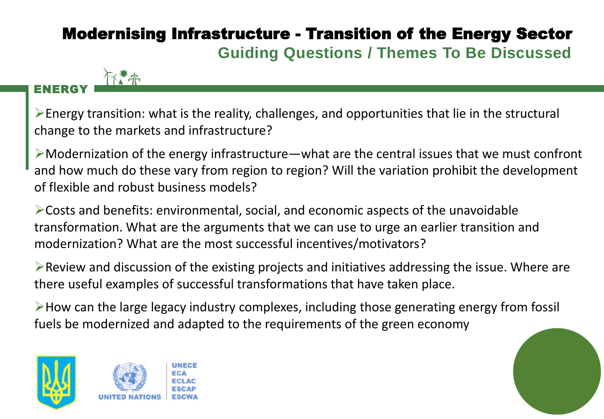### Modernising Infrastructure - Transition of the Energy Sector **Guiding Questions / Themes To Be Discussed**

#### ENERGY

➢Energy transition: what is the reality, challenges, and opportunities that lie in the structural change to the markets and infrastructure?

 $\triangleright$ Modernization of the energy infrastructure—what are the central issues that we must confront and how much do these vary from region to region? Will the variation prohibit the development of flexible and robust business models?

➢Costs and benefits: environmental, social, and economic aspects of the unavoidable transformation. What are the arguments that we can use to urge an earlier transition and modernization? What are the most successful incentives/motivators?

 $\triangleright$  Review and discussion of the existing projects and initiatives addressing the issue. Where are there useful examples of successful transformations that have taken place.

➢How can the large legacy industry complexes, including those generating energy from fossil fuels be modernized and adapted to the requirements of the green economy